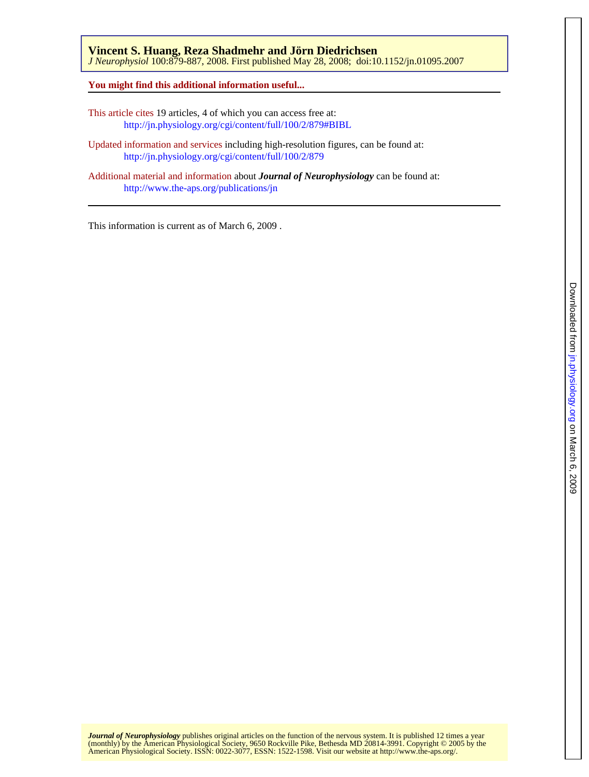*J Neurophysiol* 100:879-887, 2008. First published May 28, 2008; doi:10.1152/jn.01095.2007 **Vincent S. Huang, Reza Shadmehr and Jörn Diedrichsen** 

**You might find this additional information useful...**

This article cites 19 articles, 4 of which you can access free at: <http://jn.physiology.org/cgi/content/full/100/2/879#BIBL>

Updated information and services including high-resolution figures, can be found at: <http://jn.physiology.org/cgi/content/full/100/2/879>

Additional material and information about *Journal of Neurophysiology* can be found at: <http://www.the-aps.org/publications/jn>

This information is current as of March 6, 2009 .

American Physiological Society. ISSN: 0022-3077, ESSN: 1522-1598. Visit our website at [http://www.the-aps.org/.](http://www.the-aps.org/) (monthly) by the American Physiological Society, 9650 Rockville Pike, Bethesda MD 20814-3991. Copyright © 2005 by the *Journal of Neurophysiology* publishes original articles on the function of the nervous system. It is published 12 times a year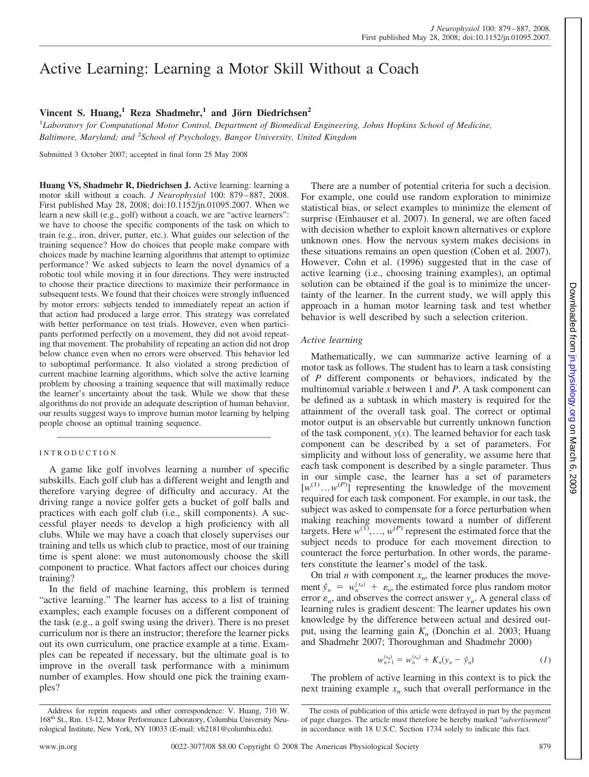# Active Learning: Learning a Motor Skill Without a Coach

# **Vincent S. Huang,<sup>1</sup> Reza Shadmehr,<sup>1</sup> and Jörn Diedrichsen<sup>2</sup>**

1 *Laboratory for Computational Motor Control, Department of Biomedical Engineering, Johns Hopkins School of Medicine,* Baltimore, Maryland; and <sup>2</sup>School of Psychology, Bangor University, United Kingdom

Submitted 3 October 2007; accepted in final form 25 May 2008

**Huang VS, Shadmehr R, Diedrichsen J.** Active learning: learning a motor skill without a coach. *J Neurophysiol* 100: 879 – 887, 2008. First published May 28, 2008; doi:10.1152/jn.01095.2007. When we learn a new skill (e.g., golf) without a coach, we are "active learners": we have to choose the specific components of the task on which to train (e.g., iron, driver, putter, etc.). What guides our selection of the training sequence? How do choices that people make compare with choices made by machine learning algorithms that attempt to optimize performance? We asked subjects to learn the novel dynamics of a robotic tool while moving it in four directions. They were instructed to choose their practice directions to maximize their performance in subsequent tests. We found that their choices were strongly influenced by motor errors: subjects tended to immediately repeat an action if that action had produced a large error. This strategy was correlated with better performance on test trials. However, even when participants performed perfectly on a movement, they did not avoid repeating that movement. The probability of repeating an action did not drop below chance even when no errors were observed. This behavior led to suboptimal performance. It also violated a strong prediction of current machine learning algorithms, which solve the active learning problem by choosing a training sequence that will maximally reduce the learner's uncertainty about the task. While we show that these algorithms do not provide an adequate description of human behavior, our results suggest ways to improve human motor learning by helping people choose an optimal training sequence.

# INTRODUCTION

A game like golf involves learning a number of specific subskills. Each golf club has a different weight and length and therefore varying degree of difficulty and accuracy. At the driving range a novice golfer gets a bucket of golf balls and practices with each golf club (i.e., skill components). A successful player needs to develop a high proficiency with all clubs. While we may have a coach that closely supervises our training and tells us which club to practice, most of our training time is spent alone: we must autonomously choose the skill component to practice. What factors affect our choices during training?

In the field of machine learning, this problem is termed "active learning." The learner has access to a list of training examples; each example focuses on a different component of the task (e.g., a golf swing using the driver). There is no preset curriculum nor is there an instructor; therefore the learner picks out its own curriculum, one practice example at a time. Examples can be repeated if necessary, but the ultimate goal is to improve in the overall task performance with a minimum number of examples. How should one pick the training examples?

There are a number of potential criteria for such a decision. For example, one could use random exploration to minimize statistical bias, or select examples to minimize the element of surprise (Einhauser et al. 2007). In general, we are often faced with decision whether to exploit known alternatives or explore unknown ones. How the nervous system makes decisions in these situations remains an open question (Cohen et al. 2007). However, Cohn et al. (1996) suggested that in the case of active learning (i.e., choosing training examples), an optimal solution can be obtained if the goal is to minimize the uncertainty of the learner. In the current study, we will apply this approach in a human motor learning task and test whether behavior is well described by such a selection criterion.

# *Active learning*

Mathematically, we can summarize active learning of a motor task as follows. The student has to learn a task consisting of *P* different components or behaviors, indicated by the multinomial variable *x* between 1 and *P*. A task component can be defined as a subtask in which mastery is required for the attainment of the overall task goal. The correct or optimal motor output is an observable but currently unknown function of the task component,  $y(x)$ . The learned behavior for each task component can be described by a set of parameters. For simplicity and without loss of generality, we assume here that each task component is described by a single parameter. Thus in our simple case, the learner has a set of parameters  $[w^{(1)} \dots w^{(P)}]$  representing the knowledge of the movement required for each task component. For example, in our task, the subject was asked to compensate for a force perturbation when making reaching movements toward a number of different targets. Here  $w^{(1)}, \ldots, w^{(P)}$  represent the estimated force that the subject needs to produce for each movement direction to counteract the force perturbation. In other words, the parameters constitute the learner's model of the task.

On trial *n* with component  $x_n$ , the learner produces the movement  $\hat{y}_n = w_n^{(x_n)} + \varepsilon_n$ , the estimated force plus random motor error  $\varepsilon_n$ , and observes the correct answer  $y_n$ . A general class of learning rules is gradient descent: The learner updates his own knowledge by the difference between actual and desired output, using the learning gain  $K_n$  (Donchin et al. 2003; Huang and Shadmehr 2007; Thoroughman and Shadmehr 2000)

$$
w_{n+1}^{(x_n)} = w_n^{(x_n)} + K_n(y_n - \hat{y}_n)
$$
 (1)

The problem of active learning in this context is to pick the next training example  $x_n$  such that overall performance in the

Address for reprint requests and other correspondence: V. Huang, 710 W. 168th St., Rm. 13-12, Motor Performance Laboratory, Columbia University Neurological Institute, New York, NY 10033 (E-mail: vh2181@columbia.edu).

The costs of publication of this article were defrayed in part by the payment of page charges. The article must therefore be hereby marked "*advertisement*" in accordance with 18 U.S.C. Section 1734 solely to indicate this fact.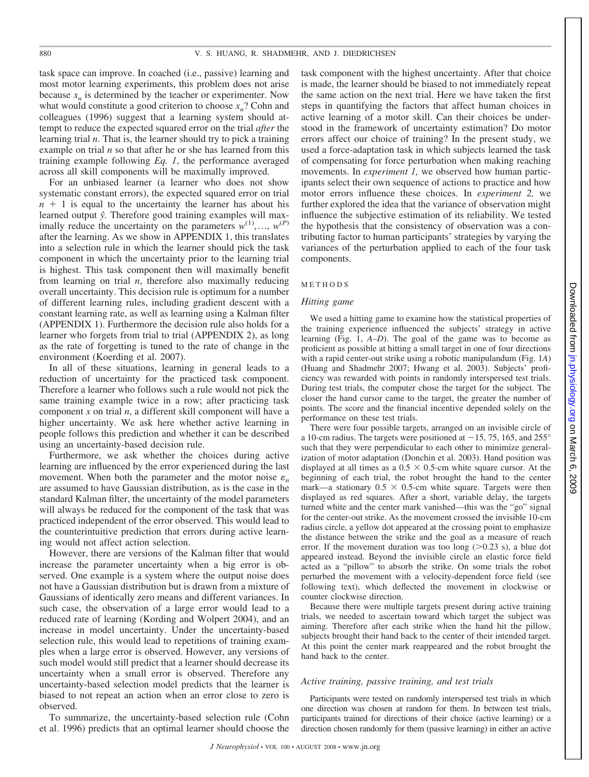task space can improve. In coached (i.e., passive) learning and most motor learning experiments, this problem does not arise because  $x<sub>n</sub>$  is determined by the teacher or experimenter. Now what would constitute a good criterion to choose  $x_n$ ? Cohn and colleagues (1996) suggest that a learning system should attempt to reduce the expected squared error on the trial *after* the learning trial *n*. That is, the learner should try to pick a training example on trial *n* so that after he or she has learned from this training example following *Eq. 1*, the performance averaged across all skill components will be maximally improved.

For an unbiased learner (a learner who does not show systematic constant errors), the expected squared error on trial  $n + 1$  is equal to the uncertainty the learner has about his learned output  $\hat{y}$ . Therefore good training examples will maximally reduce the uncertainty on the parameters  $w^{(1)}, \ldots, w^{(P)}$ after the learning. As we show in APPENDIX 1, this translates into a selection rule in which the learner should pick the task component in which the uncertainty prior to the learning trial is highest. This task component then will maximally benefit from learning on trial *n*, therefore also maximally reducing overall uncertainty. This decision rule is optimum for a number of different learning rules, including gradient descent with a constant learning rate, as well as learning using a Kalman filter (APPENDIX 1). Furthermore the decision rule also holds for a learner who forgets from trial to trial (APPENDIX 2), as long as the rate of forgetting is tuned to the rate of change in the environment (Koerding et al. 2007).

In all of these situations, learning in general leads to a reduction of uncertainty for the practiced task component. Therefore a learner who follows such a rule would not pick the same training example twice in a row; after practicing task component *x* on trial *n*, a different skill component will have a higher uncertainty. We ask here whether active learning in people follows this prediction and whether it can be described using an uncertainty-based decision rule.

Furthermore, we ask whether the choices during active learning are influenced by the error experienced during the last movement. When both the parameter and the motor noise  $\varepsilon_n$ are assumed to have Gaussian distribution, as is the case in the standard Kalman filter, the uncertainty of the model parameters will always be reduced for the component of the task that was practiced independent of the error observed. This would lead to the counterintuitive prediction that errors during active learning would not affect action selection.

However, there are versions of the Kalman filter that would increase the parameter uncertainty when a big error is observed. One example is a system where the output noise does not have a Gaussian distribution but is drawn from a mixture of Gaussians of identically zero means and different variances. In such case, the observation of a large error would lead to a reduced rate of learning (Kording and Wolpert 2004), and an increase in model uncertainty. Under the uncertainty-based selection rule, this would lead to repetitions of training examples when a large error is observed. However, any versions of such model would still predict that a learner should decrease its uncertainty when a small error is observed. Therefore any uncertainty-based selection model predicts that the learner is biased to not repeat an action when an error close to zero is observed.

To summarize, the uncertainty-based selection rule (Cohn et al. 1996) predicts that an optimal learner should choose the task component with the highest uncertainty. After that choice is made, the learner should be biased to not immediately repeat the same action on the next trial. Here we have taken the first steps in quantifying the factors that affect human choices in active learning of a motor skill. Can their choices be understood in the framework of uncertainty estimation? Do motor errors affect our choice of training? In the present study, we used a force-adaptation task in which subjects learned the task of compensating for force perturbation when making reaching movements. In *experiment 1*, we observed how human participants select their own sequence of actions to practice and how motor errors influence these choices. In *experiment 2,* we further explored the idea that the variance of observation might influence the subjective estimation of its reliability. We tested the hypothesis that the consistency of observation was a contributing factor to human participants' strategies by varying the variances of the perturbation applied to each of the four task components.

## METHODS

#### *Hitting game*

We used a hitting game to examine how the statistical properties of the training experience influenced the subjects' strategy in active learning (Fig. 1, *A–D*). The goal of the game was to become as proficient as possible at hitting a small target in one of four directions with a rapid center-out strike using a robotic manipulandum (Fig. 1*A*) (Huang and Shadmehr 2007; Hwang et al. 2003). Subjects' proficiency was rewarded with points in randomly interspersed test trials. During test trials, the computer chose the target for the subject. The closer the hand cursor came to the target, the greater the number of points. The score and the financial incentive depended solely on the performance on these test trials.

There were four possible targets, arranged on an invisible circle of a 10-cm radius. The targets were positioned at  $-15$ , 75, 165, and 255° such that they were perpendicular to each other to minimize generalization of motor adaptation (Donchin et al. 2003). Hand position was displayed at all times as a  $0.5 \times 0.5$ -cm white square cursor. At the beginning of each trial, the robot brought the hand to the center mark—a stationary  $0.5 \times 0.5$ -cm white square. Targets were then displayed as red squares. After a short, variable delay, the targets turned white and the center mark vanished—this was the "go" signal for the center-out strike. As the movement crossed the invisible 10-cm radius circle, a yellow dot appeared at the crossing point to emphasize the distance between the strike and the goal as a measure of reach error. If the movement duration was too long  $(>0.23 \text{ s})$ , a blue dot appeared instead. Beyond the invisible circle an elastic force field acted as a "pillow" to absorb the strike. On some trials the robot perturbed the movement with a velocity-dependent force field (see following text), which deflected the movement in clockwise or counter clockwise direction.

Because there were multiple targets present during active training trials, we needed to ascertain toward which target the subject was aiming. Therefore after each strike when the hand hit the pillow, subjects brought their hand back to the center of their intended target. At this point the center mark reappeared and the robot brought the hand back to the center.

## *Active training, passive training, and test trials*

Participants were tested on randomly interspersed test trials in which one direction was chosen at random for them. In between test trials, participants trained for directions of their choice (active learning) or a direction chosen randomly for them (passive learning) in either an active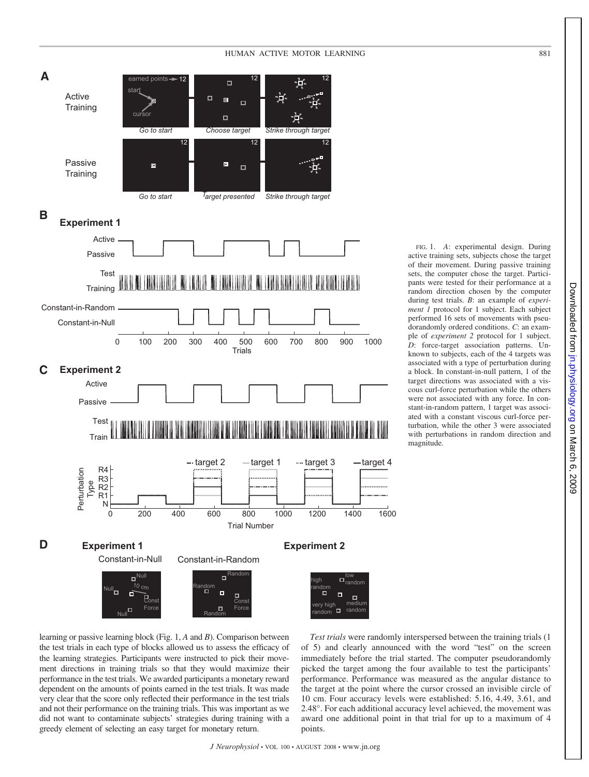

FIG. 1. *A*: experimental design. During active training sets, subjects chose the target of their movement. During passive training sets, the computer chose the target. Participants were tested for their performance at a random direction chosen by the computer during test trials. *B*: an example of *experiment 1* protocol for 1 subject. Each subject performed 16 sets of movements with pseudorandomly ordered conditions. *C*: an example of *experiment 2* protocol for 1 subject. *D*: force-target association patterns. Unknown to subjects, each of the 4 targets was associated with a type of perturbation during a block. In constant-in-null pattern, 1 of the target directions was associated with a viscous curl-force perturbation while the others were not associated with any force. In constant-in-random pattern, 1 target was associated with a constant viscous curl-force perturbation, while the other 3 were associated with perturbations in random direction and magnitude.

Downloaded from jn.physiology.org on March 6, Downloadedfrom [jn.physiology.org](http://jn.physiology.org) on March 6, 2009 5002

learning or passive learning block (Fig. 1, *A* and *B*). Comparison between the test trials in each type of blocks allowed us to assess the efficacy of the learning strategies. Participants were instructed to pick their movement directions in training trials so that they would maximize their performance in the test trials. We awarded participants a monetary reward dependent on the amounts of points earned in the test trials. It was made very clear that the score only reflected their performance in the test trials and not their performance on the training trials. This was important as we did not want to contaminate subjects' strategies during training with a greedy element of selecting an easy target for monetary return.

*Test trials* were randomly interspersed between the training trials (1 of 5) and clearly announced with the word "test" on the screen immediately before the trial started. The computer pseudorandomly picked the target among the four available to test the participants' performance. Performance was measured as the angular distance to the target at the point where the cursor crossed an invisible circle of 10 cm. Four accuracy levels were established: 5.16, 4.49, 3.61, and 2.48°. For each additional accuracy level achieved, the movement was award one additional point in that trial for up to a maximum of 4 points.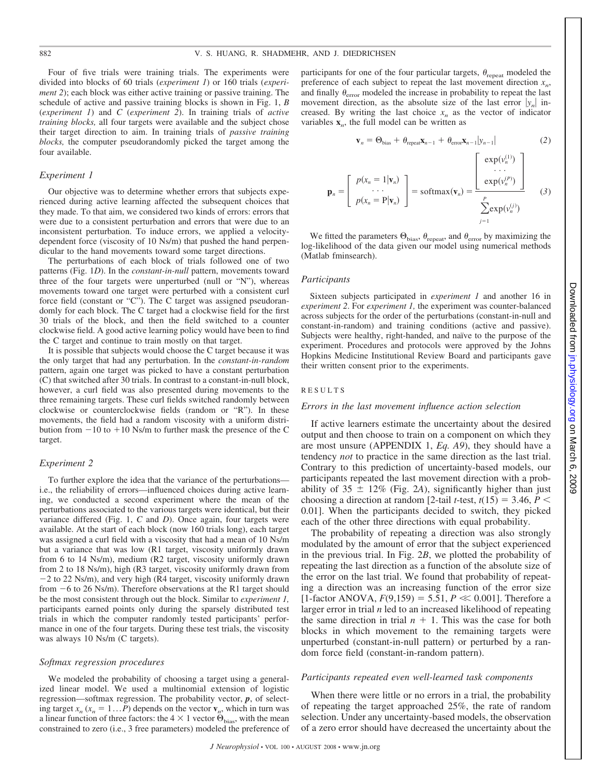Four of five trials were training trials. The experiments were divided into blocks of 60 trials (*experiment 1*) or 160 trials (*experiment 2*); each block was either active training or passive training. The schedule of active and passive training blocks is shown in Fig. 1, *B* (*experiment 1*) and *C* (*experiment 2*). In training trials of *active training blocks,* all four targets were available and the subject chose their target direction to aim. In training trials of *passive training blocks,* the computer pseudorandomly picked the target among the four available.

#### *Experiment 1*

Our objective was to determine whether errors that subjects experienced during active learning affected the subsequent choices that they made. To that aim, we considered two kinds of errors: errors that were due to a consistent perturbation and errors that were due to an inconsistent perturbation. To induce errors, we applied a velocitydependent force (viscosity of 10 Ns/m) that pushed the hand perpendicular to the hand movements toward some target directions.

The perturbations of each block of trials followed one of two patterns (Fig. 1*D*). In the *constant-in-null* pattern, movements toward three of the four targets were unperturbed (null or "N"), whereas movements toward one target were perturbed with a consistent curl force field (constant or "C"). The C target was assigned pseudorandomly for each block. The C target had a clockwise field for the first 30 trials of the block, and then the field switched to a counter clockwise field. A good active learning policy would have been to find the C target and continue to train mostly on that target.

It is possible that subjects would choose the C target because it was the only target that had any perturbation. In the *constant-in-random* pattern, again one target was picked to have a constant perturbation (C) that switched after 30 trials. In contrast to a constant-in-null block, however, a curl field was also presented during movements to the three remaining targets. These curl fields switched randomly between clockwise or counterclockwise fields (random or "R"). In these movements, the field had a random viscosity with a uniform distribution from  $-10$  to  $+10$  Ns/m to further mask the presence of the C target.

## *Experiment 2*

To further explore the idea that the variance of the perturbations i.e., the reliability of errors—influenced choices during active learning, we conducted a second experiment where the mean of the perturbations associated to the various targets were identical, but their variance differed (Fig. 1, *C* and *D*). Once again, four targets were available. At the start of each block (now 160 trials long), each target was assigned a curl field with a viscosity that had a mean of 10 Ns/m but a variance that was low (R1 target, viscosity uniformly drawn from 6 to 14 Ns/m), medium (R2 target, viscosity uniformly drawn from 2 to 18 Ns/m), high (R3 target, viscosity uniformly drawn from  $-2$  to 22 Ns/m), and very high (R4 target, viscosity uniformly drawn from  $-6$  to 26 Ns/m). Therefore observations at the R1 target should be the most consistent through out the block. Similar to *experiment 1,* participants earned points only during the sparsely distributed test trials in which the computer randomly tested participants' performance in one of the four targets. During these test trials, the viscosity was always 10 Ns/m (C targets).

#### *Softmax regression procedures*

We modeled the probability of choosing a target using a generalized linear model. We used a multinomial extension of logistic regression—softmax regression. The probability vector, *p*, of selecting target  $x_n$  ( $x_n = 1...P$ ) depends on the vector  $\mathbf{v}_n$ , which in turn was a linear function of three factors: the  $4 \times 1$  vector  $\ddot{\Theta}_{bias}$ , with the mean constrained to zero (i.e., 3 free parameters) modeled the preference of participants for one of the four particular targets,  $\theta_{\text{repeat}}$  modeled the preference of each subject to repeat the last movement direction  $x_n$ , and finally  $\theta_{\text{error}}$  modeled the increase in probability to repeat the last movement direction, as the absolute size of the last error  $|y_n|$  increased. By writing the last choice  $x_n$  as the vector of indicator variables  $\mathbf{x}_n$ , the full model can be written as

$$
\mathbf{v}_n = \Theta_{\text{bias}} + \theta_{\text{repeat}} \mathbf{x}_{n-1} + \theta_{\text{error}} \mathbf{x}_{n-1} |y_{n-1}| \tag{2}
$$

$$
\mathbf{p}_n = \begin{bmatrix} p(x_n = 1 | \mathbf{v}_n) \\ \cdots \\ p(x_n = P | \mathbf{v}_n) \end{bmatrix} = \text{softmax}(\mathbf{v}_n) = \frac{\begin{bmatrix} \exp(v_n^{(1)}) \\ \cdots \\ \exp(v_n^{(P)}) \end{bmatrix}}{\sum_{j=1}^P \exp(v_n^{(j)})}
$$
(3)

We fitted the parameters  $\Theta_{\rm bias}$  ,  $\theta_{\rm repeat}$  and  $\theta_{\rm error}$  by maximizing the log-likelihood of the data given our model using numerical methods (Matlab fminsearch).

#### *Participants*

Sixteen subjects participated in *experiment 1* and another 16 in *experiment 2*. For *experiment 1,* the experiment was counter-balanced across subjects for the order of the perturbations (constant-in-null and constant-in-random) and training conditions (active and passive). Subjects were healthy, right-handed, and naïve to the purpose of the experiment. Procedures and protocols were approved by the Johns Hopkins Medicine Institutional Review Board and participants gave their written consent prior to the experiments.

#### RESULTS

#### *Errors in the last movement influence action selection*

If active learners estimate the uncertainty about the desired output and then choose to train on a component on which they are most unsure (APPENDIX 1, *Eq. A9*), they should have a tendency *not* to practice in the same direction as the last trial. Contrary to this prediction of uncertainty-based models, our participants repeated the last movement direction with a probability of  $35 \pm 12\%$  (Fig. 2A), significantly higher than just choosing a direction at random [2-tail *t*-test,  $t(15) = 3.46$ ,  $P \le$ 0.01]. When the participants decided to switch, they picked each of the other three directions with equal probability.

The probability of repeating a direction was also strongly modulated by the amount of error that the subject experienced in the previous trial. In Fig. 2*B*, we plotted the probability of repeating the last direction as a function of the absolute size of the error on the last trial. We found that probability of repeating a direction was an increasing function of the error size [1-factor ANOVA,  $F(9,159) = 5.51, P \ll 0.001$ ]. Therefore a larger error in trial *n* led to an increased likelihood of repeating the same direction in trial  $n + 1$ . This was the case for both blocks in which movement to the remaining targets were unperturbed (constant-in-null pattern) or perturbed by a random force field (constant-in-random pattern).

#### *Participants repeated even well-learned task components*

When there were little or no errors in a trial, the probability of repeating the target approached 25%, the rate of random selection. Under any uncertainty-based models, the observation of a zero error should have decreased the uncertainty about the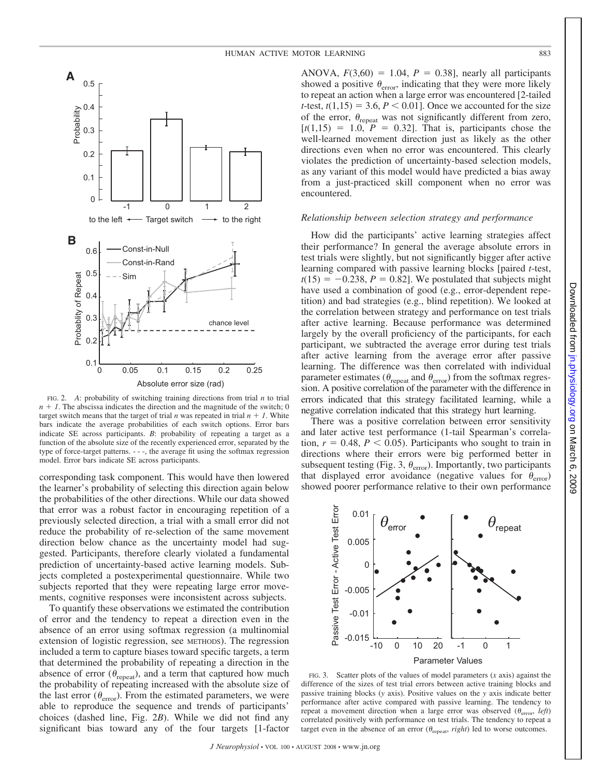

FIG. 2. *A*: probability of switching training directions from trial *n* to trial  $n + 1$ . The abscissa indicates the direction and the magnitude of the switch; 0 target switch means that the target of trial *n* was repeated in trial  $n + 1$ . White bars indicate the average probabilities of each switch options. Error bars indicate SE across participants. *B*: probability of repeating a target as a function of the absolute size of the recently experienced error, separated by the type of force-target patterns. - - -, the average fit using the softmax regression model. Error bars indicate SE across participants.

corresponding task component. This would have then lowered the learner's probability of selecting this direction again below the probabilities of the other directions. While our data showed that error was a robust factor in encouraging repetition of a previously selected direction, a trial with a small error did not reduce the probability of re-selection of the same movement direction below chance as the uncertainty model had suggested. Participants, therefore clearly violated a fundamental prediction of uncertainty-based active learning models. Subjects completed a postexperimental questionnaire. While two subjects reported that they were repeating large error movements, cognitive responses were inconsistent across subjects.

To quantify these observations we estimated the contribution of error and the tendency to repeat a direction even in the absence of an error using softmax regression (a multinomial extension of logistic regression, see METHODS). The regression included a term to capture biases toward specific targets, a term that determined the probability of repeating a direction in the absence of error ( $\theta_{\text{repeat}}$ ), and a term that captured how much the probability of repeating increased with the absolute size of the last error ( $\theta_{\text{error}}$ ). From the estimated parameters, we were able to reproduce the sequence and trends of participants' choices (dashed line, Fig. 2*B*). While we did not find any significant bias toward any of the four targets [1-factor ANOVA,  $F(3,60) = 1.04$ ,  $P = 0.38$ ], nearly all participants showed a positive  $\theta_{\text{error}}$ , indicating that they were more likely to repeat an action when a large error was encountered [2-tailed *t*-test,  $t(1,15) = 3.6, P < 0.01$ . Once we accounted for the size of the error,  $\theta_{\text{repeat}}$  was not significantly different from zero,  $[t(1,15) = 1.0, P = 0.32]$ . That is, participants chose the well-learned movement direction just as likely as the other directions even when no error was encountered. This clearly violates the prediction of uncertainty-based selection models, as any variant of this model would have predicted a bias away from a just-practiced skill component when no error was encountered.

## *Relationship between selection strategy and performance*

How did the participants' active learning strategies affect their performance? In general the average absolute errors in test trials were slightly, but not significantly bigger after active learning compared with passive learning blocks [paired *t*-test,  $t(15) = -0.238$ ,  $P = 0.82$ . We postulated that subjects might have used a combination of good (e.g., error-dependent repetition) and bad strategies (e.g., blind repetition). We looked at the correlation between strategy and performance on test trials after active learning. Because performance was determined largely by the overall proficiency of the participants, for each participant, we subtracted the average error during test trials after active learning from the average error after passive learning. The difference was then correlated with individual parameter estimates ( $\theta_{\text{repeat}}$  and  $\theta_{\text{error}}$ ) from the softmax regression. A positive correlation of the parameter with the difference in errors indicated that this strategy facilitated learning, while a negative correlation indicated that this strategy hurt learning.

There was a positive correlation between error sensitivity and later active test performance (1-tail Spearman's correlation,  $r = 0.48$ ,  $P < 0.05$ ). Participants who sought to train in directions where their errors were big performed better in subsequent testing (Fig. 3,  $\theta_{\text{error}}$ ). Importantly, two participants that displayed error avoidance (negative values for  $\theta_{\text{error}}$ ) showed poorer performance relative to their own performance



FIG. 3. Scatter plots of the values of model parameters (*x* axis) against the difference of the sizes of test trial errors between active training blocks and passive training blocks (*y* axis). Positive values on the *y* axis indicate better performance after active compared with passive learning. The tendency to repeat a movement direction when a large error was observed  $(\theta_{\text{error}}, \text{ left})$ correlated positively with performance on test trials. The tendency to repeat a target even in the absence of an error  $(\theta_{\text{repeat}}, \text{right})$  led to worse outcomes.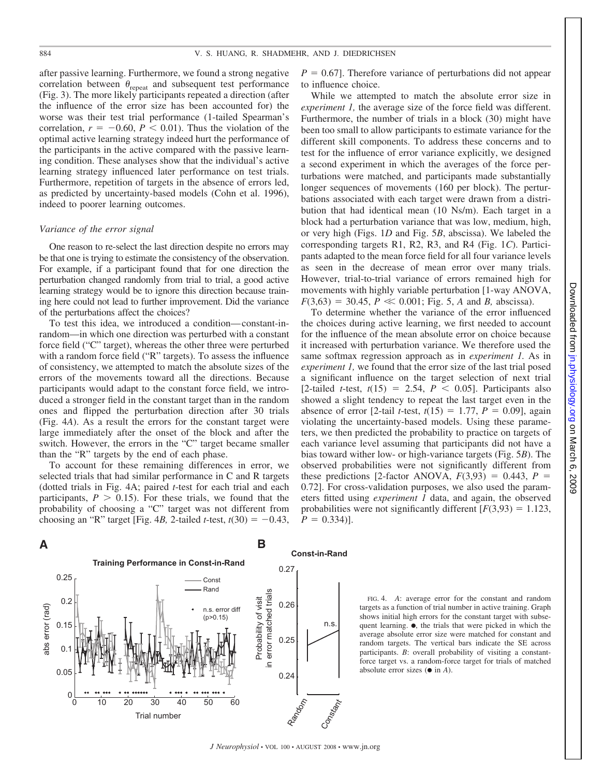after passive learning. Furthermore, we found a strong negative correlation between  $\theta_{\text{reheat}}$  and subsequent test performance (Fig. 3). The more likely participants repeated a direction (after the influence of the error size has been accounted for) the worse was their test trial performance (1-tailed Spearman's correlation,  $r = -0.60$ ,  $P < 0.01$ ). Thus the violation of the optimal active learning strategy indeed hurt the performance of the participants in the active compared with the passive learning condition. These analyses show that the individual's active learning strategy influenced later performance on test trials. Furthermore, repetition of targets in the absence of errors led, as predicted by uncertainty-based models (Cohn et al. 1996), indeed to poorer learning outcomes.

# *Variance of the error signal*

One reason to re-select the last direction despite no errors may be that one is trying to estimate the consistency of the observation. For example, if a participant found that for one direction the perturbation changed randomly from trial to trial, a good active learning strategy would be to ignore this direction because training here could not lead to further improvement. Did the variance of the perturbations affect the choices?

To test this idea, we introduced a condition— constant-inrandom—in which one direction was perturbed with a constant force field ("C" target), whereas the other three were perturbed with a random force field ("R" targets). To assess the influence of consistency, we attempted to match the absolute sizes of the errors of the movements toward all the directions. Because participants would adapt to the constant force field, we introduced a stronger field in the constant target than in the random ones and flipped the perturbation direction after 30 trials (Fig. 4*A*). As a result the errors for the constant target were large immediately after the onset of the block and after the switch. However, the errors in the "C" target became smaller than the "R" targets by the end of each phase.

To account for these remaining differences in error, we selected trials that had similar performance in C and R targets (dotted trials in Fig. 4A; paired *t*-test for each trial and each participants,  $P > 0.15$ ). For these trials, we found that the probability of choosing a "C" target was not different from choosing an "R" target [Fig. 4*B*, 2-tailed *t*-test,  $t(30) = -0.43$ ,

 $P = 0.67$ ]. Therefore variance of perturbations did not appear to influence choice.

While we attempted to match the absolute error size in *experiment 1,* the average size of the force field was different. Furthermore, the number of trials in a block (30) might have been too small to allow participants to estimate variance for the different skill components. To address these concerns and to test for the influence of error variance explicitly, we designed a second experiment in which the averages of the force perturbations were matched, and participants made substantially longer sequences of movements (160 per block). The perturbations associated with each target were drawn from a distribution that had identical mean (10 Ns/m). Each target in a block had a perturbation variance that was low, medium, high, or very high (Figs. 1*D* and Fig. 5*B*, abscissa). We labeled the corresponding targets R1, R2, R3, and R4 (Fig. 1*C*). Participants adapted to the mean force field for all four variance levels as seen in the decrease of mean error over many trials. However, trial-to-trial variance of errors remained high for movements with highly variable perturbation [1-way ANOVA,  $F(3,63) = 30.45$ ,  $P \ll 0.001$ ; Fig. 5, *A* and *B*, abscissa).

To determine whether the variance of the error influenced the choices during active learning, we first needed to account for the influence of the mean absolute error on choice because it increased with perturbation variance. We therefore used the same softmax regression approach as in *experiment 1.* As in *experiment 1,* we found that the error size of the last trial posed a significant influence on the target selection of next trial [2-tailed *t*-test,  $t(15) = 2.54$ ,  $P < 0.05$ ]. Participants also showed a slight tendency to repeat the last target even in the absence of error [2-tail *t*-test,  $t(15) = 1.77$ ,  $P = 0.09$ ], again violating the uncertainty-based models. Using these parameters, we then predicted the probability to practice on targets of each variance level assuming that participants did not have a bias toward wither low- or high-variance targets (Fig. 5*B*). The observed probabilities were not significantly different from these predictions [2-factor ANOVA,  $F(3,93) = 0.443$ ,  $P =$ 0.72]. For cross-validation purposes, we also used the parameters fitted using *experiment 1* data, and again, the observed probabilities were not significantly different  $[F(3,93) = 1.123$ ,  $P = 0.334$ .



FIG. 4. *A*: average error for the constant and random targets as a function of trial number in active training. Graph shows initial high errors for the constant target with subsequent learning.  $\bullet$ , the trials that were picked in which the average absolute error size were matched for constant and random targets. The vertical bars indicate the SE across participants. *B*: overall probability of visiting a constantforce target vs. a random-force target for trials of matched absolute error sizes  $(\bullet \text{ in } A)$ .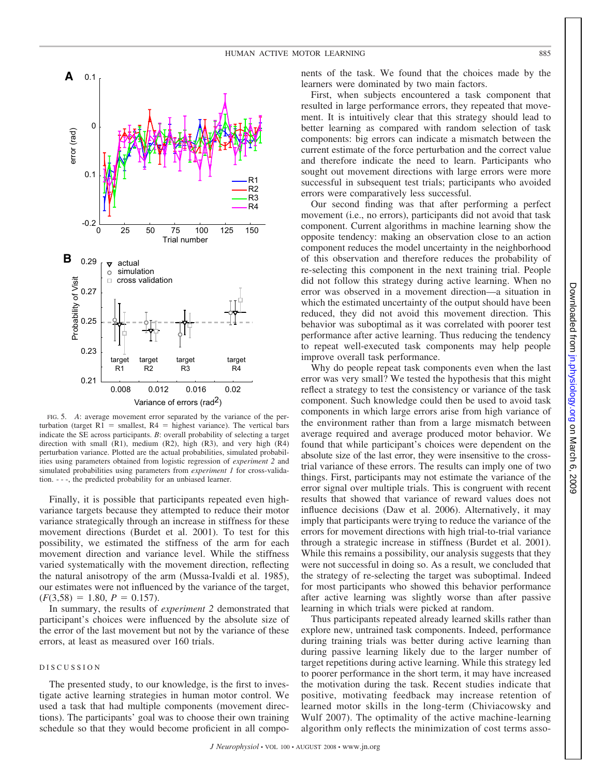

FIG. 5. *A*: average movement error separated by the variance of the perturbation (target  $R1$  = smallest,  $R4$  = highest variance). The vertical bars indicate the SE across participants. *B*: overall probability of selecting a target direction with small  $(R1)$ , medium  $(R2)$ , high  $(R3)$ , and very high  $(R4)$ perturbation variance. Plotted are the actual probabilities, simulated probabilities using parameters obtained from logistic regression of *experiment 2* and simulated probabilities using parameters from *experiment 1* for cross-validation. - - -, the predicted probability for an unbiased learner.

Finally, it is possible that participants repeated even highvariance targets because they attempted to reduce their motor variance strategically through an increase in stiffness for these movement directions (Burdet et al. 2001). To test for this possibility, we estimated the stiffness of the arm for each movement direction and variance level. While the stiffness varied systematically with the movement direction, reflecting the natural anisotropy of the arm (Mussa-Ivaldi et al. 1985), our estimates were not influenced by the variance of the target,  $(F(3,58) = 1.80, P = 0.157).$ 

In summary, the results of *experiment 2* demonstrated that participant's choices were influenced by the absolute size of the error of the last movement but not by the variance of these errors, at least as measured over 160 trials.

# DISCUSSION

The presented study, to our knowledge, is the first to investigate active learning strategies in human motor control. We used a task that had multiple components (movement directions). The participants' goal was to choose their own training schedule so that they would become proficient in all components of the task. We found that the choices made by the learners were dominated by two main factors.

First, when subjects encountered a task component that resulted in large performance errors, they repeated that movement. It is intuitively clear that this strategy should lead to better learning as compared with random selection of task components: big errors can indicate a mismatch between the current estimate of the force perturbation and the correct value and therefore indicate the need to learn. Participants who sought out movement directions with large errors were more successful in subsequent test trials; participants who avoided errors were comparatively less successful.

Our second finding was that after performing a perfect movement (i.e., no errors), participants did not avoid that task component. Current algorithms in machine learning show the opposite tendency: making an observation close to an action component reduces the model uncertainty in the neighborhood of this observation and therefore reduces the probability of re-selecting this component in the next training trial. People did not follow this strategy during active learning. When no error was observed in a movement direction—a situation in which the estimated uncertainty of the output should have been reduced, they did not avoid this movement direction. This behavior was suboptimal as it was correlated with poorer test performance after active learning. Thus reducing the tendency to repeat well-executed task components may help people improve overall task performance.

Why do people repeat task components even when the last error was very small? We tested the hypothesis that this might reflect a strategy to test the consistency or variance of the task component. Such knowledge could then be used to avoid task components in which large errors arise from high variance of the environment rather than from a large mismatch between average required and average produced motor behavior. We found that while participant's choices were dependent on the absolute size of the last error, they were insensitive to the crosstrial variance of these errors. The results can imply one of two things. First, participants may not estimate the variance of the error signal over multiple trials. This is congruent with recent results that showed that variance of reward values does not influence decisions (Daw et al. 2006). Alternatively, it may imply that participants were trying to reduce the variance of the errors for movement directions with high trial-to-trial variance through a strategic increase in stiffness (Burdet et al. 2001). While this remains a possibility, our analysis suggests that they were not successful in doing so. As a result, we concluded that the strategy of re-selecting the target was suboptimal. Indeed for most participants who showed this behavior performance after active learning was slightly worse than after passive learning in which trials were picked at random.

Thus participants repeated already learned skills rather than explore new, untrained task components. Indeed, performance during training trials was better during active learning than during passive learning likely due to the larger number of target repetitions during active learning. While this strategy led to poorer performance in the short term, it may have increased the motivation during the task. Recent studies indicate that positive, motivating feedback may increase retention of learned motor skills in the long-term (Chiviacowsky and Wulf 2007). The optimality of the active machine-learning algorithm only reflects the minimization of cost terms asso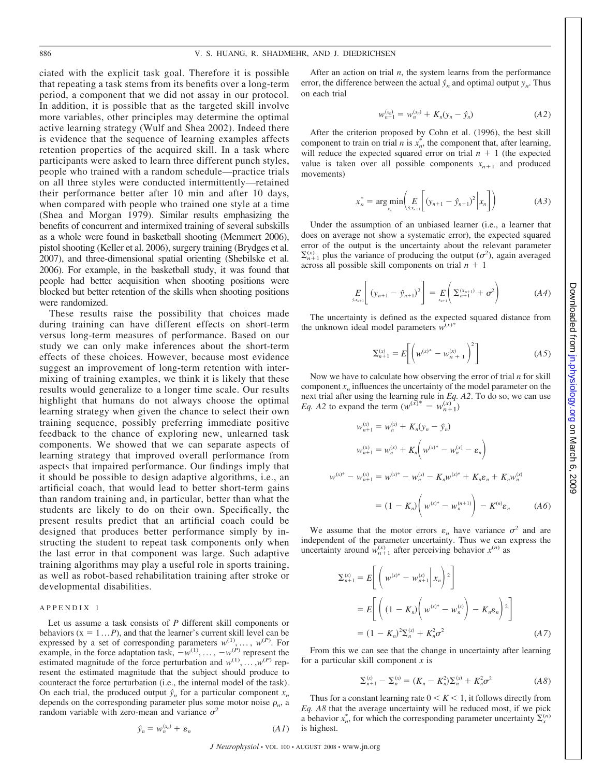ciated with the explicit task goal. Therefore it is possible that repeating a task stems from its benefits over a long-term period, a component that we did not assay in our protocol. In addition, it is possible that as the targeted skill involve more variables, other principles may determine the optimal active learning strategy (Wulf and Shea 2002). Indeed there is evidence that the sequence of learning examples affects retention properties of the acquired skill. In a task where participants were asked to learn three different punch styles, people who trained with a random schedule—practice trials on all three styles were conducted intermittently—retained their performance better after 10 min and after 10 days, when compared with people who trained one style at a time (Shea and Morgan 1979). Similar results emphasizing the benefits of concurrent and intermixed training of several subskills as a whole were found in basketball shooting (Memmert 2006), pistol shooting (Keller et al. 2006), surgery training (Brydges et al. 2007), and three-dimensional spatial orienting (Shebilske et al. 2006). For example, in the basketball study, it was found that people had better acquisition when shooting positions were blocked but better retention of the skills when shooting positions were randomized.

These results raise the possibility that choices made during training can have different effects on short-term versus long-term measures of performance. Based on our study we can only make inferences about the short-term effects of these choices. However, because most evidence suggest an improvement of long-term retention with intermixing of training examples, we think it is likely that these results would generalize to a longer time scale. Our results highlight that humans do not always choose the optimal learning strategy when given the chance to select their own training sequence, possibly preferring immediate positive feedback to the chance of exploring new, unlearned task components. We showed that we can separate aspects of learning strategy that improved overall performance from aspects that impaired performance. Our findings imply that it should be possible to design adaptive algorithms, i.e., an artificial coach, that would lead to better short-term gains than random training and, in particular, better than what the students are likely to do on their own. Specifically, the present results predict that an artificial coach could be designed that produces better performance simply by instructing the student to repeat task components only when the last error in that component was large. Such adaptive training algorithms may play a useful role in sports training, as well as robot-based rehabilitation training after stroke or developmental disabilities.

#### APPENDIX 1

Let us assume a task consists of *P* different skill components or behaviors  $(x = 1...P)$ , and that the learner's current skill level can be expressed by a set of corresponding parameters  $w^{(1)}, \ldots, w^{(P)}$ . For example, in the force adaptation task,  $-w^{(1)}$ , ...,  $-w^{(P)}$  represent the estimated magnitude of the force perturbation and  $w^{(1)}$ , ...,  $w^{(P)}$  represent the estimated magnitude that the subject should produce to counteract the force perturbation (i.e., the internal model of the task). On each trial, the produced output  $\hat{y}_n$  for a particular component  $x_n$ depends on the corresponding parameter plus some motor noise  $\rho_n$ , a random variable with zero-mean and variance  $\sigma^2$ 

$$
\hat{y}_n = w_n^{(x_n)} + \varepsilon_n \tag{A1}
$$

After an action on trial *n*, the system learns from the performance error, the difference between the actual  $\hat{y}_n$  and optimal output  $y_n$ . Thus on each trial

$$
w_{n+1}^{(x_n)} = w_n^{(x_n)} + K_n(y_n - \hat{y}_n)
$$
 (A2)

After the criterion proposed by Cohn et al. (1996), the best skill component to train on trial *n* is  $x_n^*$ , the component that, after learning, will reduce the expected squared error on trial  $n + 1$  (the expected value is taken over all possible components  $x_{n+1}$  and produced movements)

$$
x_n^* = \arg\min_{x_n} \left( E\left[ (y_{n+1} - \hat{y}_{n+1})^2 \, \middle| \, x_n \right] \right) \tag{A3}
$$

Under the assumption of an unbiased learner (i.e., a learner that does on average not show a systematic error), the expected squared error of the output is the uncertainty about the relevant parameter  $\Sigma_{n+1}^{(x)}$  plus the variance of producing the output ( $\sigma^2$ ), again averaged across all possible skill components on trial  $n + 1$ 

$$
\underset{\mathfrak{F}_{x_{n+1}}}{E} \left[ \left( y_{n+1} - \hat{y}_{n+1} \right)^2 \right] = \underset{\mathfrak{x}_{n+1}}{E} \left( \Sigma_{n+1}^{(x_{n+1})} + \sigma^2 \right) \tag{A4}
$$

The uncertainty is defined as the expected squared distance from the unknown ideal model parameters  $w^{(x)*}$ 

$$
\Sigma_{n+1}^{(x)} = E\left[\left(w^{(x)*} - w_{n+1}^{(x)}\right)^2\right]
$$
 (A5)

Now we have to calculate how observing the error of trial *n* for skill component  $x_n$  influences the uncertainty of the model parameter on the next trial after using the learning rule in *Eq. A2*. To do so, we can use *Eq. A2* to expand the term  $(w^{(x)*} - w^{(x)}_{n+1})$ 

$$
w_{n+1}^{(x)} = w_n^{(x)} + K_n(y_n - \hat{y}_n)
$$
  

$$
w_{n+1}^{(x)} = w_n^{(x)} + K_n \left( w^{(x)*} - w_n^{(x)} - \varepsilon_n \right)
$$
  

$$
w_{n+1}^{(x)} = w^{(x)*} - w_n^{(x)} - K_n w^{(x)*} + K_n \varepsilon_n + K_n w_n^{(x)}
$$
  

$$
= (1 - K_n) \left( w^{(x)*} - w_n^{(n+1)} \right) - K^{(n)} \varepsilon_n \qquad (A6)
$$

We assume that the motor errors  $\varepsilon_n$  have variance  $\sigma^2$  and are independent of the parameter uncertainty. Thus we can express the uncertainty around  $w_{n+1}^{(x)}$  after perceiving behavior  $x^{(n)}$  as

$$
\Sigma_{n+1}^{(x)} = E\left[ \left( w^{(x)*} - w_{n+1}^{(x)} \middle| x_n \right)^2 \right]
$$
  
= 
$$
E\left[ \left( (1 - K_n) \left( w^{(x)*} - w_n^{(x)} \right) - K_n \varepsilon_n \right)^2 \right]
$$
  
= 
$$
(1 - K_n)^2 \Sigma_n^{(x)} + K_n^2 \sigma^2
$$
 (A7)

From this we can see that the change in uncertainty after learning for a particular skill component *x* is

$$
\sum_{n+1}^{(x)} - \sum_{n}^{(x)} = (K_n - K_n^2) \sum_{n}^{(x)} + K_n^2 \sigma^2 \tag{A8}
$$

Thus for a constant learning rate  $0 \leq K \leq 1$ , it follows directly from *Eq. A8* that the average uncertainty will be reduced most, if we pick a behavior  $x_n^*$ , for which the corresponding parameter uncertainty  $\sum_{x}^{(n)}$ is highest.

*wx*-